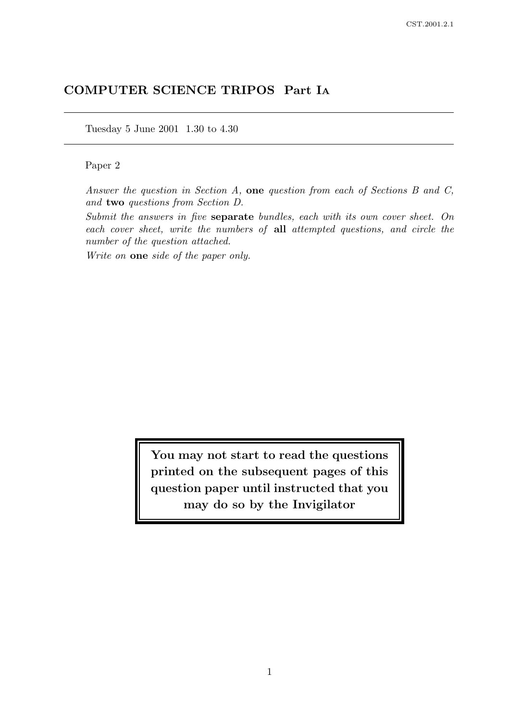# COMPUTER SCIENCE TRIPOS Part I<sup>A</sup>

Tuesday 5 June 2001 1.30 to 4.30

### Paper 2

Answer the question in Section A, one question from each of Sections B and C, and two questions from Section D.

Submit the answers in five separate bundles, each with its own cover sheet. On each cover sheet, write the numbers of all attempted questions, and circle the number of the question attached.

Write on **one** side of the paper only.

You may not start to read the questions printed on the subsequent pages of this question paper until instructed that you may do so by the Invigilator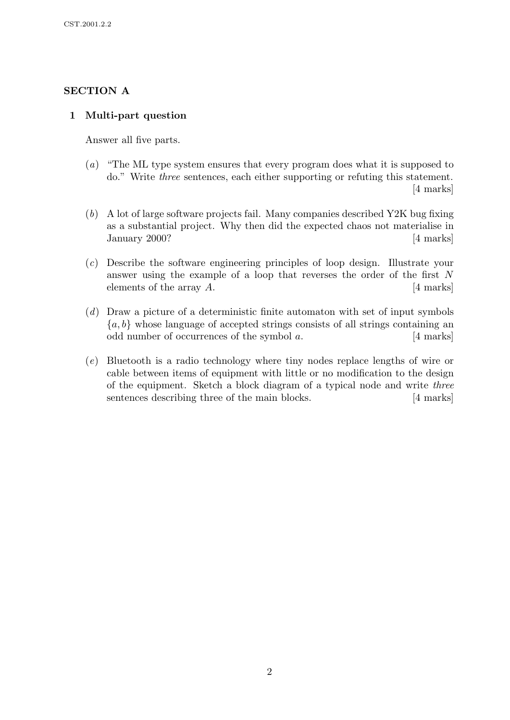## SECTION A

## 1 Multi-part question

Answer all five parts.

- (a) "The ML type system ensures that every program does what it is supposed to do." Write three sentences, each either supporting or refuting this statement. [4 marks]
- (b) A lot of large software projects fail. Many companies described Y2K bug fixing as a substantial project. Why then did the expected chaos not materialise in January 2000? [4 marks]
- (c) Describe the software engineering principles of loop design. Illustrate your answer using the example of a loop that reverses the order of the first N elements of the array  $A$ .  $[4 \text{ marks}]$
- (d) Draw a picture of a deterministic finite automaton with set of input symbols  ${a, b}$  whose language of accepted strings consists of all strings containing an odd number of occurrences of the symbol  $a$ . [4 marks]
- (e) Bluetooth is a radio technology where tiny nodes replace lengths of wire or cable between items of equipment with little or no modification to the design of the equipment. Sketch a block diagram of a typical node and write three sentences describing three of the main blocks. [4 marks]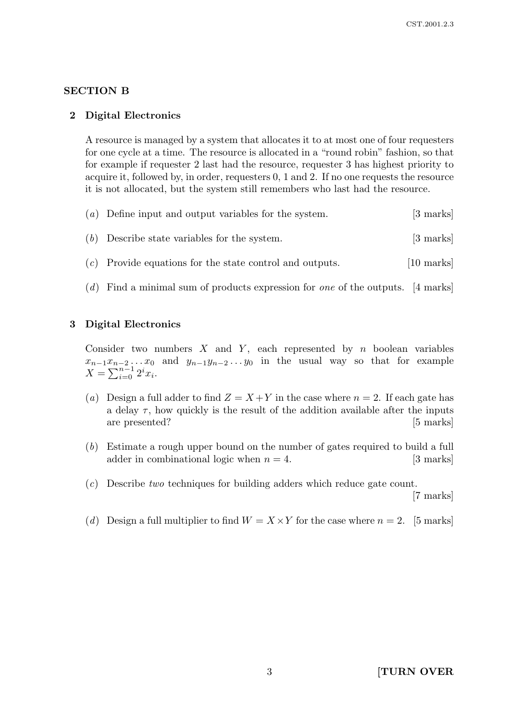### SECTION B

#### 2 Digital Electronics

A resource is managed by a system that allocates it to at most one of four requesters for one cycle at a time. The resource is allocated in a "round robin" fashion, so that for example if requester 2 last had the resource, requester 3 has highest priority to acquire it, followed by, in order, requesters 0, 1 and 2. If no one requests the resource it is not allocated, but the system still remembers who last had the resource.

| $(a)$ Define input and output variables for the system. | [3 marks] |
|---------------------------------------------------------|-----------|
| $(b)$ Describe state variables for the system.          | [3 marks] |

- $(c)$  Provide equations for the state control and outputs. [10 marks]
- (d) Find a minimal sum of products expression for one of the outputs. [4 marks]

### 3 Digital Electronics

Consider two numbers  $X$  and  $Y$ , each represented by n boolean variables  $x_{n-1}x_{n-2}...x_0$  and  $y_{n-1}y_{n-2}...y_0$  in the usual way so that for example  $X = \sum_{i=0}^{n-1} 2^i x_i.$ 

- (a) Design a full adder to find  $Z = X + Y$  in the case where  $n = 2$ . If each gate has a delay  $\tau$ , how quickly is the result of the addition available after the inputs are presented? [5 marks]
- (b) Estimate a rough upper bound on the number of gates required to build a full adder in combinational logic when  $n = 4$ . [3 marks]
- (c) Describe two techniques for building adders which reduce gate count.

[7 marks]

(d) Design a full multiplier to find  $W = X \times Y$  for the case where  $n = 2$ . [5 marks]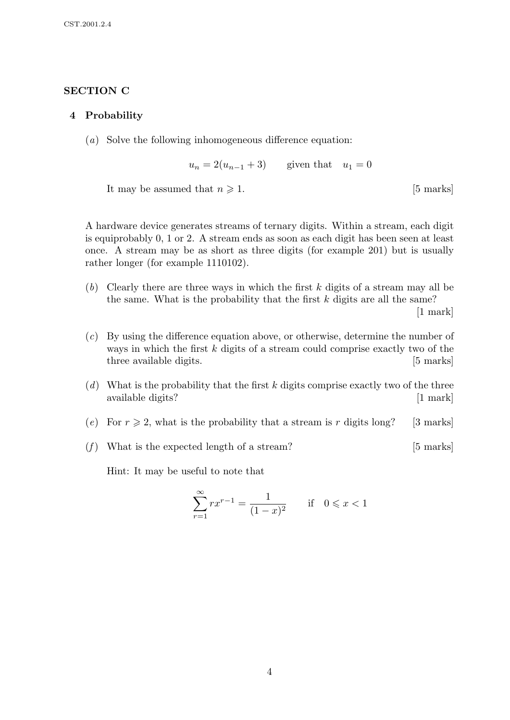## SECTION C

### 4 Probability

(a) Solve the following inhomogeneous difference equation:

 $u_n = 2(u_{n-1} + 3)$  given that  $u_1 = 0$ 

It may be assumed that  $n \geqslant 1$ . [5 marks]

A hardware device generates streams of ternary digits. Within a stream, each digit is equiprobably 0, 1 or 2. A stream ends as soon as each digit has been seen at least once. A stream may be as short as three digits (for example 201) but is usually rather longer (for example 1110102).

 $(b)$  Clearly there are three ways in which the first k digits of a stream may all be the same. What is the probability that the first  $k$  digits are all the same?

[1 mark]

- (c) By using the difference equation above, or otherwise, determine the number of ways in which the first k digits of a stream could comprise exactly two of the three available digits. [5 marks]
- (d) What is the probability that the first k digits comprise exactly two of the three available digits? [1 mark]
- (e) For  $r \geq 2$ , what is the probability that a stream is r digits long? [3 marks]
- (f) What is the expected length of a stream?  $[5 \text{ marks}]$

Hint: It may be useful to note that

$$
\sum_{r=1}^{\infty} rx^{r-1} = \frac{1}{(1-x)^2} \quad \text{if} \quad 0 \leq x < 1
$$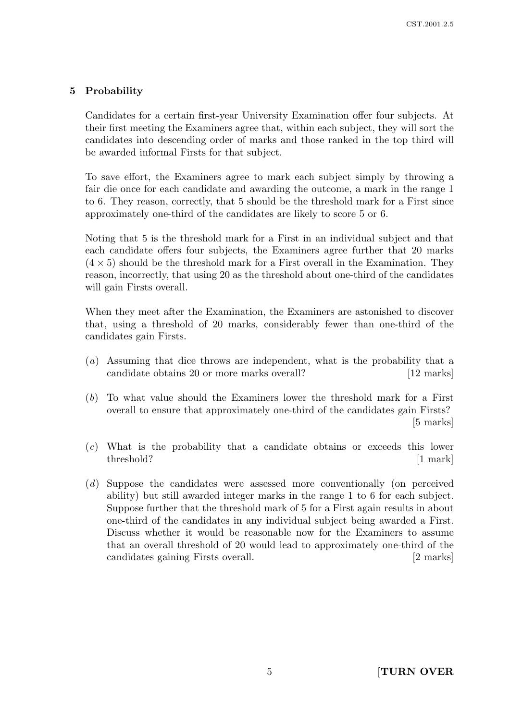## 5 Probability

Candidates for a certain first-year University Examination offer four subjects. At their first meeting the Examiners agree that, within each subject, they will sort the candidates into descending order of marks and those ranked in the top third will be awarded informal Firsts for that subject.

To save effort, the Examiners agree to mark each subject simply by throwing a fair die once for each candidate and awarding the outcome, a mark in the range 1 to 6. They reason, correctly, that 5 should be the threshold mark for a First since approximately one-third of the candidates are likely to score 5 or 6.

Noting that 5 is the threshold mark for a First in an individual subject and that each candidate offers four subjects, the Examiners agree further that 20 marks  $(4 \times 5)$  should be the threshold mark for a First overall in the Examination. They reason, incorrectly, that using 20 as the threshold about one-third of the candidates will gain Firsts overall.

When they meet after the Examination, the Examiners are astonished to discover that, using a threshold of 20 marks, considerably fewer than one-third of the candidates gain Firsts.

- (a) Assuming that dice throws are independent, what is the probability that a candidate obtains 20 or more marks overall? [12 marks]
- (b) To what value should the Examiners lower the threshold mark for a First overall to ensure that approximately one-third of the candidates gain Firsts? [5 marks]
- (c) What is the probability that a candidate obtains or exceeds this lower threshold? [1 mark]
- (d) Suppose the candidates were assessed more conventionally (on perceived ability) but still awarded integer marks in the range 1 to 6 for each subject. Suppose further that the threshold mark of 5 for a First again results in about one-third of the candidates in any individual subject being awarded a First. Discuss whether it would be reasonable now for the Examiners to assume that an overall threshold of 20 would lead to approximately one-third of the candidates gaining Firsts overall. [2 marks]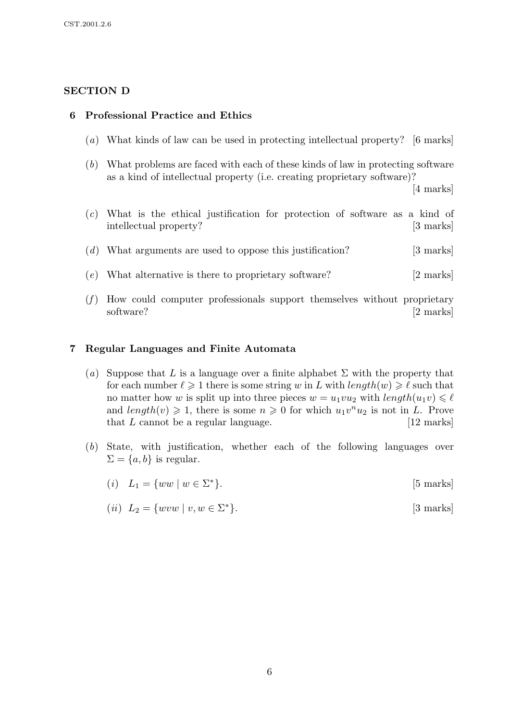## SECTION D

## 6 Professional Practice and Ethics

- (a) What kinds of law can be used in protecting intellectual property? [6 marks]
- (b) What problems are faced with each of these kinds of law in protecting software as a kind of intellectual property (i.e. creating proprietary software)?

[4 marks]

- (c) What is the ethical justification for protection of software as a kind of intellectual property? [3 marks]
- $(d)$  What arguments are used to oppose this justification? [3 marks]
- (e) What alternative is there to proprietary software? [2 marks]
- $(f)$  How could computer professionals support themselves without proprietary software? [2 marks]

### 7 Regular Languages and Finite Automata

- (a) Suppose that L is a language over a finite alphabet  $\Sigma$  with the property that for each number  $\ell \geq 1$  there is some string w in L with  $length(w) \geq \ell$  such that no matter how w is split up into three pieces  $w = u_1vu_2$  with  $length(u_1v) \leq \ell$ and  $length(v) \geq 1$ , there is some  $n \geq 0$  for which  $u_1v^nu_2$  is not in L. Prove that  $L$  cannot be a regular language.  $[12 \text{ marks}]$
- (b) State, with justification, whether each of the following languages over  $\Sigma = \{a, b\}$  is regular.
	- (*i*)  $L_1 = \{ww \mid w \in \Sigma^*\}$ [5 marks]
	- (*ii*)  $L_2 = \{wvw \mid v, w \in \Sigma^*\}$ [3 marks]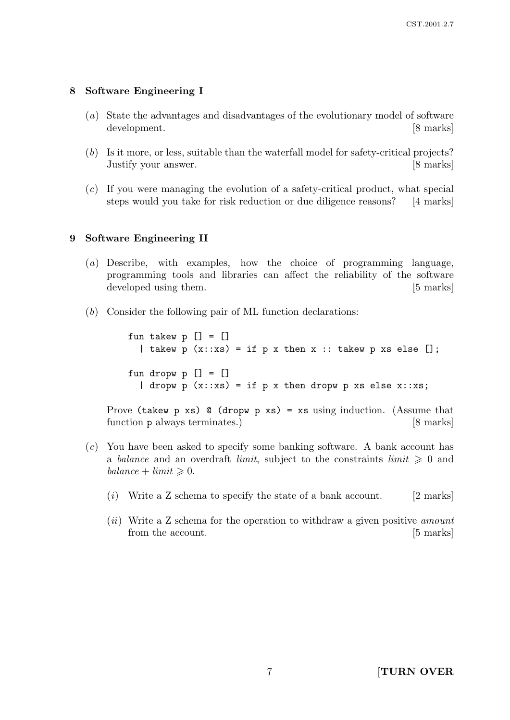### 8 Software Engineering I

- (a) State the advantages and disadvantages of the evolutionary model of software development. [8 marks]
- (b) Is it more, or less, suitable than the waterfall model for safety-critical projects? Justify your answer. [8 marks]
- (c) If you were managing the evolution of a safety-critical product, what special steps would you take for risk reduction or due diligence reasons? [4 marks]

### 9 Software Engineering II

- (a) Describe, with examples, how the choice of programming language, programming tools and libraries can affect the reliability of the software developed using them. [5 marks]
- (b) Consider the following pair of ML function declarations:

fun takew  $p$   $[] = []$ | takew  $p(x::xs) = if p x then x :: taken p xs else []$ ; fun dropw  $p$   $[] = []$ | dropw p  $(x::xs) = if p x then dropw p xs else x::xs;$ 

Prove (takew  $p$  xs)  $Q$  (dropw  $p$  xs) = xs using induction. (Assume that function **p** always terminates.) [8 marks]

- (c) You have been asked to specify some banking software. A bank account has a balance and an overdraft limit, subject to the constraints limit  $\geq 0$  and  $balance + limit \geq 0.$ 
	- $(i)$  Write a Z schema to specify the state of a bank account. [2 marks]
	- (ii) Write a Z schema for the operation to withdraw a given positive *amount* from the account. [5 marks]